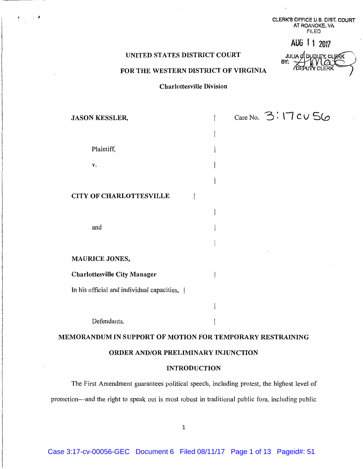CLERK'S OFFICE U.S. DIST. COURT AT ROANOKE, VA FILED

AUG 11 2017

**JULIA O DUDLEY, CLERK** 

BY:

# UNITED STATES DISTRICT COURT

#### FOR THE WESTERN DISTRICT OF VIRGINIA

## Charlottesville Division

| <b>JASON KESSLER,</b> | Case No. 3:17 CV 56 |
|-----------------------|---------------------|
|                       |                     |
| Plaintiff,            |                     |
| v.                    |                     |
|                       |                     |
|                       |                     |

# CITY OF CHARLOTTESVILLE

and

·i

MAURICE JONES,

Charlottesville City Manager

In his official and individual capacities,

Defendants.

# MEMORANDUM IN SUPPORT OF MOTION FOR TEMPORARY RESTRAINING

# ORDER AND/OR PRELIMINARY INJUNCTION

#### INTRODUCTION

The First Amendment guarantees political speech, including protest, the highest level of protection-and the right to speak out is most robust in traditional public fora, including public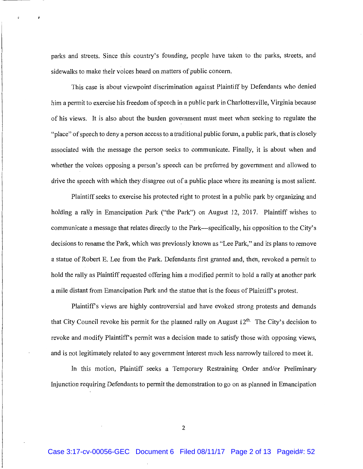parks and streets. Since this country's founding, people have taken to the parks, streets, and sidewalks to make their voices heard on matters of public concern.

·•

This case is about viewpoint discrimination against Plaintiff by Defendants who denied him a permit to exercise his freedom of speech in a public park in Charlottesville, Virginia because of his views. It is also about the burden government must meet when seeking to regulate the "place" of speech to deny a person access to a traditional public forum, a public park, that is closely associated with the message the person seeks to communicate. Finally, it is about when and whether the voices opposing a person's speech can be preferred by government and allowed to drive the speech with which they disagree out of a public place where its meaning is most salient.

Plaintiff seeks to exercise his protected right to protest in a public park by organizing and holding a rally in Emancipation Park ("the Park") on August 12, 2017. Plaintiff wishes to communicate a message that relates directly to the Park—specifically, his opposition to the City's decisions to rename the Park, which was previously known as "Lee Park," and its plans to remove a statue of Robert E. Lee from the Park. Defendants first granted and, then, revoked a permit to hold the rally as Plaintiff requested offering him a modified permit to hold a rally at another park a mile distant from Emancipation Park and the statue that is the focus of Plaintiff's protest.

Plaintiffs views are highly controversial and have evoked strong protests and demands that City Council revoke his permit for the planned rally on August  $12<sup>th</sup>$ . The City's decision to revoke and modify Plaintiff's permit was a decision made to satisfy those with opposing views, and is not legitimately related to any government interest much less narrowly tailored to meet it.

In this motion, Plaintiff seeks a Temporary Restraining Order and/or Preliminary Injunction requiring Defendants to permit the demonstration to go on as planned in Emancipation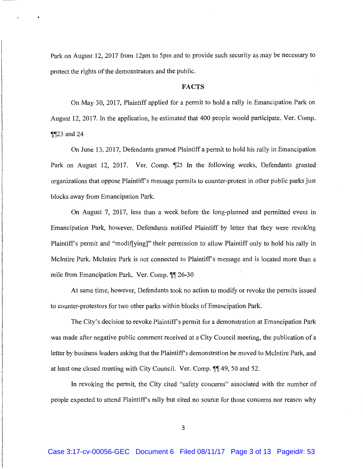Park on August 12, 2017 from 12pm to 5pm and to provide such security as may be necessary to protect the rights of the demonstrators and the public.

#### **FACTS**

On May 30, 2017, Plaintiff applied for a permit to hold a rally in Emancipation Park on August 12, 2017. In the application, he estimated that 400 people would participate. Ver. Comp. **Times** 23 and 24

On June 13, 2017, Defendants granted Plaintiff a permit to hold his rally in Emancipation Park on August 12, 2017. Ver. Comp. [25 In the following weeks, Defendants granted organizations that oppose Plaintiff's message permits to counter-protest in other public parks just blocks away from Emancipation Park.

On August 7, 2017, less than a week before the long-planned and permitted event in Emancipation Park, however, Defendants notified Plaintiff by letter that they were revoking Plaintiffs permit and "modif[ying]" their permission to allow Plaintiff only to hold his rally in McIntire Park. McIntire Park is not connected to Plaintiff's message and is located more than a mile from Emancipation Park. Ver. Comp.  $\P$  $126-30$ 

At same time, however, Defendants took no action to modify or revoke the permits issued to counter-protestors for two other parks within blocks of Emancipation Park.

The City's decision to revoke Plaintiff's permit for a demonstration at Emancipation Park was made after negative public comment received at a City Council meeting, the publication of a letter by business leaders asking that the Plaintiff's demonstration be moved to McIntire Park, and at least one closed meeting with City Council. Ver. Comp.  $\P\P$  49, 50 and 52.

In revoking the permit, the City cited "safety concerns" associated with the number of people expected to attend Plaintiffs rally but cited no source for those concerns nor reason why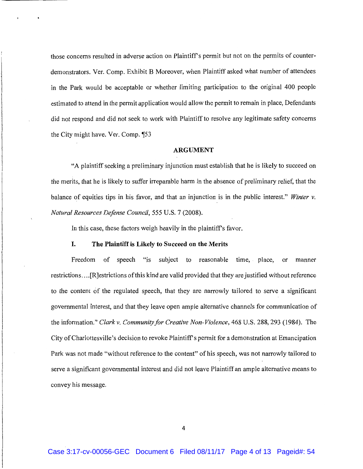those concerns resulted in adverse action on Plaintiff's permit but not on the permits of counterdemonstrators. Ver. Comp. Exhibit B Moreover, when Plaintiff asked what number of attendees in the Park would be acceptable or whether limiting participation to the original 400 people estimated to attend in the permit application would allow the permit to remain in place, Defendants did not respond and did not seek to work with Plaintiff to resolve any legitimate safety concerns the City might have. Ver. Comp.  $\P$ 53

# **ARGUMENT**

"A plaintiff seeking a preliminary injunction must establish that he is likely to succeed on the merits, that he is likely to suffer irreparable harm in the absence of preliminary relief, that the balance of equities tips in his favor, and that an injunction is in the public interest." *Winter v. Natural Resources Defense Council,* 555 U.S. 7 (2008).

In this case, these factors weigh heavily in the plaintiff's favor.

#### **I. The Plaintiff is Likely to Succeed on the Merits**

Freedom of speech "is subject to reasonable time, place, or manner restrictions .... [R]estrictions of this kind are valid provided that they are justified without reference to the content of the regulated speech, that they are narrowly tailored to serve a significant governmental interest, and that they leave open ample alternative channels for communication of the infonnation." *Clark v. Community for Creative Non-Violence,* 468 U.S. 288, 293 (1984). The City of Charlottesville's decision to revoke Plaintiff's permit for a demonstration at Emancipation Park was not made "without reference to the content" of his speech, was not narrowly tailored to serve a significant governmental interest and did not leave Plaintiff an ample alternative means to convey his message.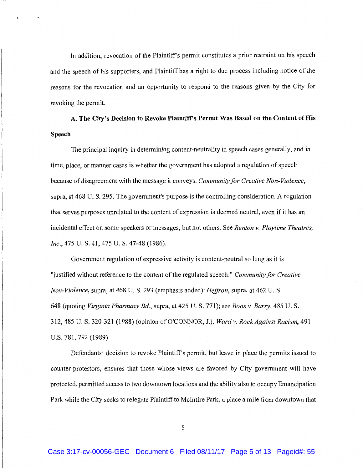In addition, revocation of the Plaintiff's permit constitutes a prior restraint on his speech and the speech of his supporters, and Plaintiff has a right to due process including notice of the reasons for the revocation and an opportunity to respond to the reasons given by the City for revoking the permit.

A. The City's Decision to Revoke Plaintifrs Permit Was Based on the Content of His Speech

The principal inquiry in determining content-neutrality in speech cases generally, and in time, place, or manner cases is whether the government has adopted a regulation of speech because of disagreement with the message it conveys. *Community for Creative Non- Violence,*  supra, at 468 U.S. 295. The government's purpose is the controlling consideration. A regulation that serves purposes unrelated to the content of expression is deemed neutral, even if it has an incidental effect on some speakers or messages, but not others. See *Renton v. Playtime Theatres, Inc.*, 475 U.S. 41, 475 U.S. 47-48 (1986).

Government regulation of expressive activity is content-neutral so long as it is "justified without reference to the content of the regulated speech." *Community for Creative Non- Violence,* supra, at 468 U. S. 293 (emphasis added); *Heffron,* supra, at 462 U. S. 648 (quoting *Virginia Pharmacy Bd.,* supra, at 425 U.S. 771); see *Boos v. Barry,* 485 U.S. 312,485 U.S. 320-321 (1988) (opinion ofO'CONNOR, J.). *Wardv. Rock Against Racism,* 491 U.S. 781, 792 (1989)

Defendants' decision to revoke Plaintiff's permit, but leave in place the permits issued to counter-protestors, ensures that those whose views are favored by City government will have protected, permitted access to two downtown locations and the ability also to occupy Emancipation Park while the City seeks to relegate Plaintiff to McIntire Park, a place a mile from downtown that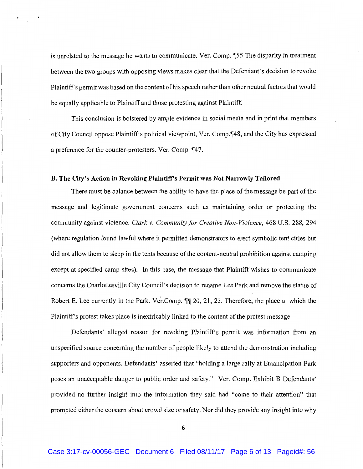is unrelated to the message he wants to communicate. Ver. Comp. 155 The disparity in treatment between the two groups with opposing views makes clear that the Defendant's decision to revoke Plaintiffs permit was based on the content ofhis speech rather than other neutral factors that would be equally applicable to Plaintiff and those protesting against Plaintiff.

This conclusion is bolstered by ample evidence in social media and in print that members of City Council oppose Plaintiff's political viewpoint, Ver. Comp.¶48, and the City has expressed a preference for the counter-protesters. Ver. Comp. [47.]

#### B. The City's Action in Revoking Plaintifrs Permit was Not Narrowly Tailored

There must be balance between the ability to have the place of the message be part of the message and legitimate government concerns such as maintaining order or protecting the community against violence. *Clark v. Community for Creative Non-Violence,* 468 U.S. 288, 294 (where regulation found lawful where it permitted demonstrators to erect symbolic tent cities but did not allow them to sleep in the tents because of the content-neutral prohibition against camping except at specified camp sites). In this case, the message that Plaintiff wishes to communicate concerns the Charlottesville City Council's decision to rename Lee Park and remove the statue of Robert E. Lee currently in the Park. Ver.Comp.  $\P$  20, 21, 23. Therefore, the place at which the Plaintiffs protest takes place is inextricably linked to the content of the protest message.

Defendants' alleged reason for revoking Plaintiff's permit was information from an unspecified source concerning the number of people likely to attend the demonstration including supporters and opponents. Defendants' asserted that "holding a large rally at Emancipation Park poses an unacceptable danger to public order and safety." Ver. Comp. Exhibit B Defendants' provided no further insight into the information they said had "come to their attention" that prompted either the concern about crowd size or safety. Nor did they provide any insight into why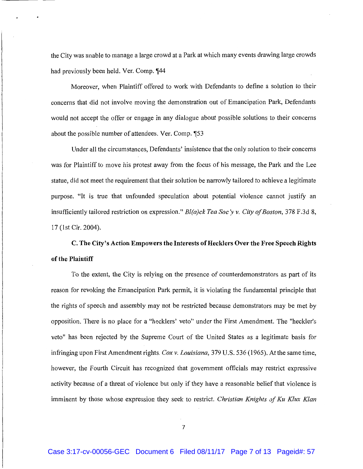the City was unable to manage a large crowd at a Park at which many events drawing large crowds had previously been held. Ver. Comp. [44]

Moreover, when Plaintiff offered to work with Defendants to define a solution to their concerns that did not involve moving the demonstration out of Emancipation Park, Defendants would not accept the offer or engage in any dialogue about possible solutions to their concerns about the possible number of attendees. Ver. Comp. [53]

Under all the circumstances, Defendants' insistence that the only solution to their concerns was for Plaintiff to move his protest away from the focus of his message, the Park and the Lee statue, did not meet the requirement that their solution be narrowly tailored to achieve a legitimate purpose. "It is true that unfounded speculation about potential violence cannot justify an insufficiently tailored restriction on expression." *Bl(a)ck Tea Soc y v. City of Boston,* 378 F.3d 8, 17 (1st Cir. 2004).

**C. The City's Action Empowers the Interests of Hecklers Over the Free Speech Rights of the Plaintiff** 

To the extent, the City is relying on the presence of counterdemonstrators as part of its reason for revoking the Emancipation Park permit, it is violating the fundamental principle that the rights of speech and assembly may not be restricted because demonstrators may be met by opposition. There is no place for a "hecklers' veto" under the First Amendment. The "heckler's veto" has been rejected by the Supreme Court of the United States as a legitimate basis for infringing upon First Amendment rights. *Cox v. Louisiana,* 379 U.S. 536 (1965). At the same time, however, the Fourth Circuit has recognized that government officials may restrict expressive activity because of a threat of violence but only if they have a reasonable belief that violence is imminent by those whose expression they seek to restrict. *Christian Knights of Ku Klux Klan*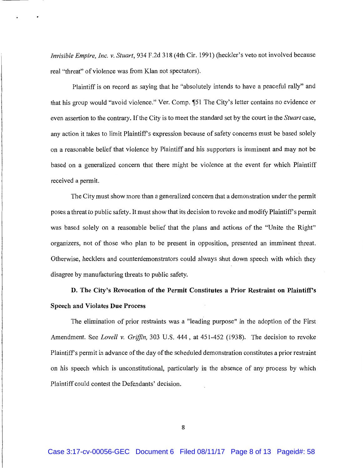*Invisible Empire, Inc. v. Stuart,* 934 F.2d 318 (4th Cir. 1991) (heckler's veto not involved because real "threat" of violence was from Klan not spectators).

Plaintiff is on record as saying that he "absolutely intends to have a peaceful rally" and that his group would "avoid violence." Ver. Comp. ¶51 The City's letter contains no evidence or even assertion to the contrary. If the City is to meet the standard set by the court in the *Stuart* case, any action it takes to limit Plaintiff's expression because of safety concerns must be based solely on a reasonable belief that violence by Plaintiff and his supporters is imminent and may not be based on a generalized concern that there might be violence at the event for which Plaintiff received a permit.

The City must show more than a generalized concern that a demonstration under the permit poses a threat to public safety. It must show that its decision to revoke and modify Plaintiff's permit was based solely on a reasonable belief that the plans and actions of the "Unite the Right" organizers, not of those who plan to be present in opposition, presented an imminent threat. Otherwise, hecklers and counterdemonstrators could always shut down speech with which they disagree by manufacturing threats to public safety.

# **D. The City's Revocation of the Permit Constitutes a Prior Restraint on Plaintiff's Speech and Violates Due Process**

The elimination of prior restraints was a "leading purpose" in the adoption of the First Amendment. See *Lovell v. Griffin*, 303 U.S. 444, at 451-452 (1938). The decision to revoke Plaintiff's permit in advance of the day of the scheduled demonstration constitutes a prior restraint on his speech which is unconstitutional, particularly in the absence of any process by which Plaintiff could contest the Defendants' decision.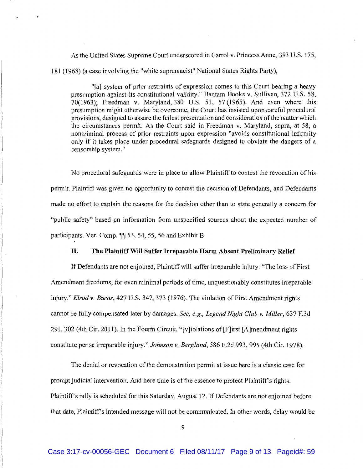As the United States Supreme Court underscored in Carrol v. Princess Anne, 393 U.S. 175, 181 (1968) (a case involving the "white supremacist" National States Rights Party),

"[a] system of prior restraints of expression comes to this Court bearing a heavy presumption against its constitutional validity." Bantam Books v. Sullivan, 372 U.S. 58, 70(1963); Freedman v. Maryland, 380 U.S. 51, 57 (1965). And even where this presumption might otherwise be overcome, the Court has insisted upon careful procedural provisions, designed to assure the fullest presentation and consideration of the matter which the circumstances permit. As the Court said in Freedman v. Maryland, supra, at 58, a noncriminal process of prior restraints upon expression "avoids constitutional infirmity only if it takes place under procedural safeguards designed to obviate the dangers of a censorship system."

No procedural safeguards were in place to allow Plaintiff to contest the revocation of his permit. Plaintiff was given no opportunity to contest the decision of Defendants, and Defendants made no effort to explain the reasons for the decision other than to state generally a concern for "public safety" based pn information from unspecified sources about the expected number of participants. Ver. Comp.  $\P$  53, 54, 55, 56 and Exhibit B

# **II. The Plaintiff Will Suffer Irreparable Harm Absent Preliminary Relief**

If Defendants are not enjoined, Plaintiff will suffer irreparable injury. "The loss of First Amendment freedoms, for even minimal periods of time, unquestionably constitutes irreparable injury." *Elrod v. Burns,* 427 U.S. 347, 373 (1976). The violation of First Amendment rights cannot be fully compensated later by damages. *See, e.g., Legend Night Club v. Miller,* 637 F.3d 291, 302 (4th Cir. 2011). In the Fourth Circuit, "[v]iolations of[F]irst [A]mendment rights constitute per se irreparable injury." *Johnson v. Bergland,* 586 F.2d 993, 995 (4th Cir. 1978).

The denial or revocation of the demonstration permit at issue here is a classic case for prompt judicial intervention. And here time is of the essence to protect Plaintiff's rights. Plaintiffs rally is scheduled for this Saturday, August 12. If Defendants are not enjoined before that date, Plaintiffs intended message will not be communicated. In other words, delay would be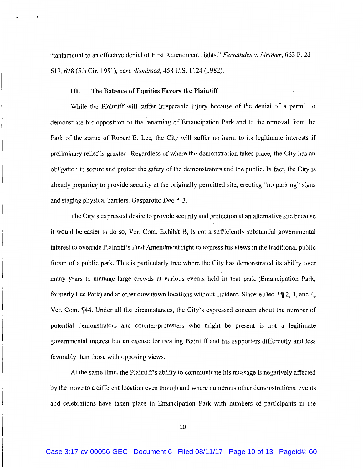"tantamount to an effective denial of First Amendment rights." *Fernandes v. Limmer,* 663 F. 2d 619, 628 (5th Cir. 1981), *cert. dismissed,* 458 U.S. 1124 (1982).

## III. The Balance of Equities Favors the Plaintiff

While the Plaintiff will suffer irreparable injury because of the denial of a permit to demonstrate his opposition to the renaming of Emancipation Park and to the removal from the Park of the statue of Robert E. Lee, the City will suffer no harm to its legitimate interests if preliminary relief is granted. Regardless of where the demonstration takes place, the City has an obligation to secure and protect the safety of the demonstrators and the public. In fact, the City is already preparing to provide security at the originally permitted site, erecting "no parking" signs and staging physical barriers. Gasparotto Dec.  $\llbracket 3$ .

The City's expressed desire to provide security and protection at an alternative site because it would be easier to do so, Ver. Com. Exhibit B, is not a sufficiently substantial governmental interest to override Plaintiff's First Amendment right to express his views in the traditional public forum of a public park. This is particularly true where the City has demonstrated its ability over many years to manage large crowds at various events held in that park (Emancipation Park, formerly Lee Park) and at other downtown locations without incident. Sincere Dec.  $\P$  $[2, 3,$  and 4; Ver. Com. ¶44. Under all the circumstances, the City's expressed concern about the number of potential demonstrators and counter-protesters who might be present is not a legitimate governmental interest but an excuse for treating Plaintiff and his supporters differently and less favorably than those with opposing views.

At the same time, the Plaintiff's ability to communicate his message is negatively affected by the move to a different location even though and where numerous other demonstrations, events and celebrations have taken place in Emancipation Park with numbers of participants in the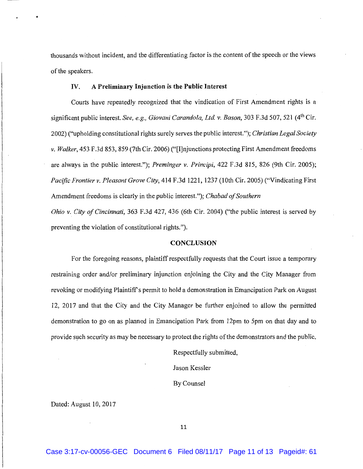thousands without incident, and the differentiating factor is the content of the speech or the views of the speakers.

#### IV. A **Preliminary Injunction is the Public Interest**

Courts have repeatedly recognized that the vindication of First Amendment rights is a significant public interest. *See, e.g., Giovani Carandola, Ltd. v. Bason,* 303 F.3d 507, 521 (4<sup>1</sup> h Cir. 2002) ("upholding constitutional rights surely serves the public interest."); *Christian Legal Society v. Walker,* 453 F.3d 853, 859 (7th Cir. 2006) ("[I]njunctions protecting First Amendment freedoms are always in the public interest."); *Preminger v. Principi,* 422 F.3d 815, 826 (9th Cir. 2005); *Pacific Frontier v. Pleasant Grove City,* 414 F.3d 1221, 1237 (lOth Cir. 2005) ("Vindicating First Amendment freedoms is clearly in the public interest."); *Chabad of Southern* 

*Ohio v. City of Cincinnati,* 363 F .3d 427, 436 (6th Cir. 2004) ("the public interest is served by preventing the violation of constitutional rights.").

#### **CONCLUSION**

For the foregoing reasons, plaintiff respectfully requests that the Court issue a temporary restraining order and/or preliminary injunction enjoining the City and the City Manager from revoking or modifying Plaintiff's permit to hold a demonstration in Emancipation Park on August 12, 2017 and that the City and the City Manager be further enjoined to allow the permitted demonstration to go on as planned in Emancipation Park from 12pm to 5pm on that day and to provide such security as may be necessary to protect the rights of the demonstrators and the public.

Respectfully submitted,

Jason Kessler

By Counsel

Dated: August 10, 2017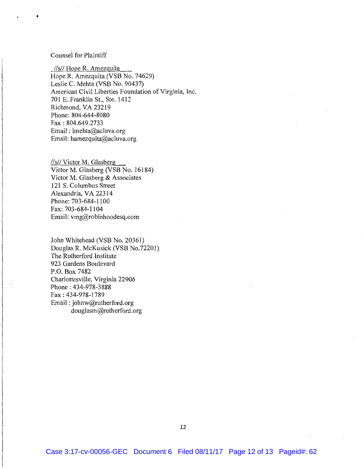### Counsel for Plaintiff

*/Is//* HopeR. Amezquita HopeR. Amezquita (VSB No. 74629) Leslie C. Mehta (VSB No. 90437) American Civil Liberties Foundation of Virginia, Inc. 701 E. Franklin St., Ste. 1412 Richmond, VA 23219 Phone: 804-644-8080 Fax : 804.649.2733 Email : lmehta@acluva.org Email: hamezquita@acluva.org

*/Is//* Victor M. Glasberg Victor M. Glasberg (VSB No. 16184) Victor M. Glasberg & Associates 121 S. Columbus Street Alexandria, VA 22314 Phone: 703-684-1100 Fax: 703-684-1104 Email: vmg@robinhoodesq.com

John Whitehead (VSB No. 20361) Douglas R. McKusick (VSB No.72201) The Rutherford Institute 923 Gardens Boulevard P.O. Box 7482 Charlottesville, Virginia 22906 Phone : 434-978-3888 Fax: 434-978-1789 Email : johnw@rutherford.org douglasm@rutherford.org